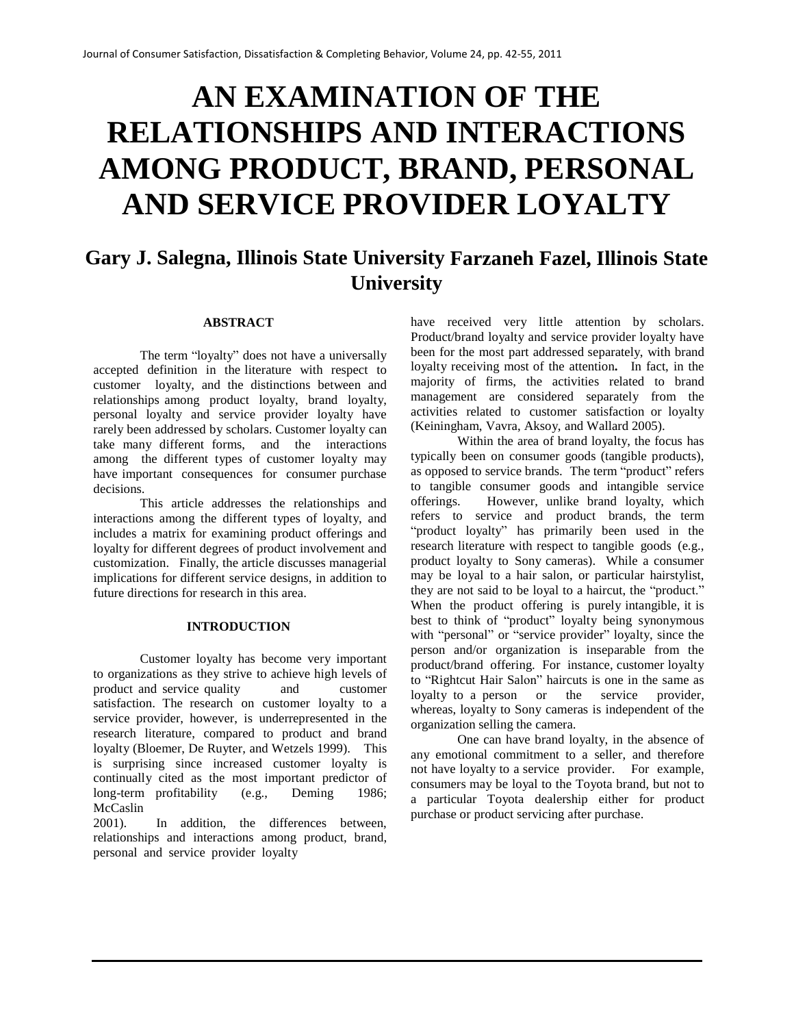# **AN EXAMINATION OF THE RELATIONSHIPS AND INTERACTIONS AMONG PRODUCT, BRAND, PERSONAL AND SERVICE PROVIDER LOYALTY**

# **Gary J. Salegna, Illinois State University Farzaneh Fazel, Illinois State University**

#### **ABSTRACT**

The term "loyalty" does not have a universally accepted definition in the literature with respect to customer loyalty, and the distinctions between and relationships among product loyalty, brand loyalty, personal loyalty and service provider loyalty have rarely been addressed by scholars. Customer loyalty can take many different forms, and the interactions among the different types of customer loyalty may have important consequences for consumer purchase decisions.

This article addresses the relationships and interactions among the different types of loyalty, and includes a matrix for examining product offerings and loyalty for different degrees of product involvement and customization. Finally, the article discusses managerial implications for different service designs, in addition to future directions for research in this area.

#### **INTRODUCTION**

Customer loyalty has become very important to organizations as they strive to achieve high levels of product and service quality and customer satisfaction. The research on customer loyalty to a service provider, however, is underrepresented in the research literature, compared to product and brand loyalty (Bloemer, De Ruyter, and Wetzels 1999). This is surprising since increased customer loyalty is continually cited as the most important predictor of long-term profitability (e.g., Deming 1986; McCaslin

2001). In addition, the differences between, relationships and interactions among product, brand, personal and service provider loyalty

have received very little attention by scholars. Product/brand loyalty and service provider loyalty have been for the most part addressed separately, with brand loyalty receiving most of the attention**.** In fact, in the majority of firms, the activities related to brand management are considered separately from the activities related to customer satisfaction or loyalty (Keiningham, Vavra, Aksoy, and Wallard 2005).

Within the area of brand loyalty, the focus has typically been on consumer goods (tangible products), as opposed to service brands. The term "product" refers to tangible consumer goods and intangible service offerings. However, unlike brand loyalty, which refers to service and product brands, the term "product loyalty" has primarily been used in the research literature with respect to tangible goods (e.g., product loyalty to Sony cameras). While a consumer may be loyal to a hair salon, or particular hairstylist, they are not said to be loyal to a haircut, the "product." When the product offering is purely intangible, it is best to think of "product" loyalty being synonymous with "personal" or "service provider" loyalty, since the person and/or organization is inseparable from the product/brand offering. For instance, customer loyalty to "Rightcut Hair Salon" haircuts is one in the same as loyalty to a person or the service provider, whereas, loyalty to Sony cameras is independent of the organization selling the camera.

One can have brand loyalty, in the absence of any emotional commitment to a seller, and therefore not have loyalty to a service provider. For example, consumers may be loyal to the Toyota brand, but not to a particular Toyota dealership either for product purchase or product servicing after purchase.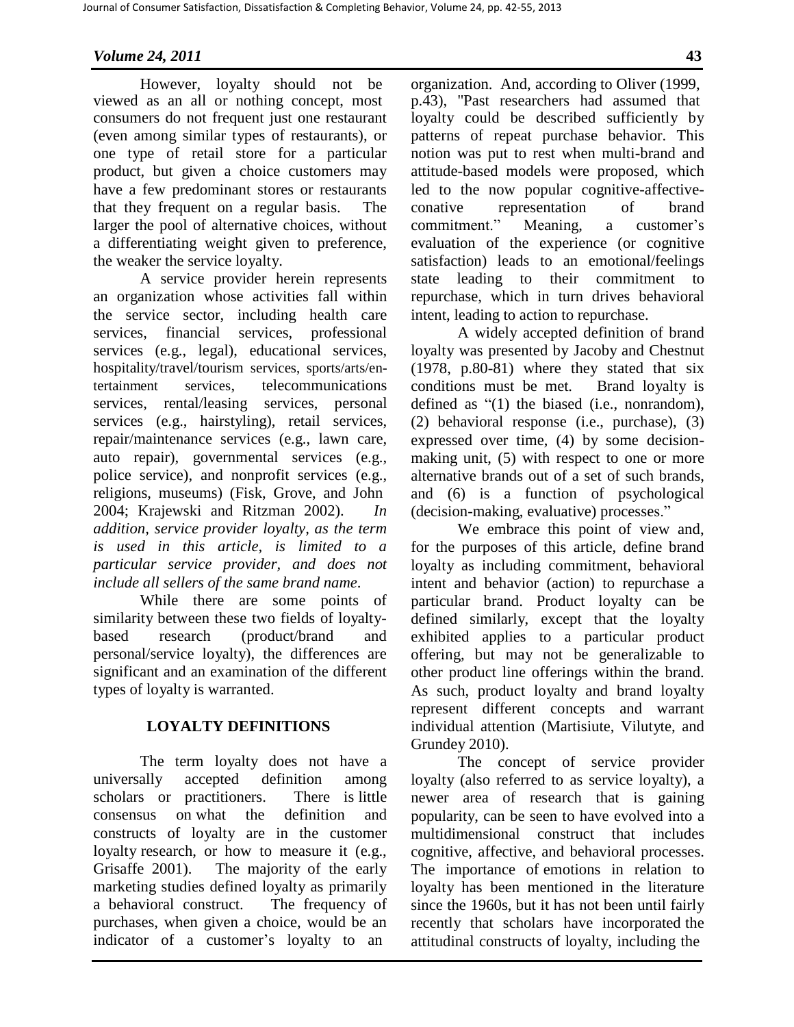viewed as an all or nothing concept, most consumers do not frequent just one restaurant (even among similar types of restaurants), or one type of retail store for a particular product, but given a choice customers may have a few predominant stores or restaurants that they frequent on a regular basis. The larger the pool of alternative choices, without a differentiating weight given to preference, the weaker the service loyalty.

A service provider herein represents an organization whose activities fall within the service sector, including health care services, financial services, professional services (e.g., legal), educational services, hospitality/travel/tourism services, sports/arts/entertainment services, telecommunications services, rental/leasing services, personal services (e.g., hairstyling), retail services, repair/maintenance services (e.g., lawn care, auto repair), governmental services (e.g., police service), and nonprofit services (e.g., religions, museums) (Fisk, Grove, and John 2004; Krajewski and Ritzman 2002). *In addition, service provider loyalty, as the term is used in this article, is limited to a particular service provider, and does not include all sellers of the same brand name*.

While there are some points of similarity between these two fields of loyaltybased research (product/brand and personal/service loyalty), the differences are significant and an examination of the different types of loyalty is warranted.

#### **LOYALTY DEFINITIONS**

The term loyalty does not have a universally accepted definition among scholars or practitioners. There is little consensus on what the definition and constructs of loyalty are in the customer loyalty research, or how to measure it (e.g., Grisaffe 2001). The majority of the early marketing studies defined loyalty as primarily a behavioral construct. The frequency of purchases, when given a choice, would be an indicator of a customer's loyalty to an

However, loyalty should not be organization. And, according to Oliver (1999, p.43), "Past researchers had assumed that loyalty could be described sufficiently by patterns of repeat purchase behavior. This notion was put to rest when multi-brand and attitude-based models were proposed, which led to the now popular cognitive-affectiveconative representation of brand commitment." Meaning, a customer's evaluation of the experience (or cognitive satisfaction) leads to an emotional/feelings state leading to their commitment to repurchase, which in turn drives behavioral intent, leading to action to repurchase.

> A widely accepted definition of brand loyalty was presented by Jacoby and Chestnut (1978, p.80-81) where they stated that six conditions must be met. Brand loyalty is defined as "(1) the biased (i.e., nonrandom), (2) behavioral response (i.e., purchase), (3) expressed over time, (4) by some decisionmaking unit, (5) with respect to one or more alternative brands out of a set of such brands, and (6) is a function of psychological (decision-making, evaluative) processes."

> We embrace this point of view and, for the purposes of this article, define brand loyalty as including commitment, behavioral intent and behavior (action) to repurchase a particular brand. Product loyalty can be defined similarly, except that the loyalty exhibited applies to a particular product offering, but may not be generalizable to other product line offerings within the brand. As such, product loyalty and brand loyalty represent different concepts and warrant individual attention (Martisiute, Vilutyte, and Grundey 2010).

> The concept of service provider loyalty (also referred to as service loyalty), a newer area of research that is gaining popularity, can be seen to have evolved into a multidimensional construct that includes cognitive, affective, and behavioral processes. The importance of emotions in relation to loyalty has been mentioned in the literature since the 1960s, but it has not been until fairly recently that scholars have incorporated the attitudinal constructs of loyalty, including the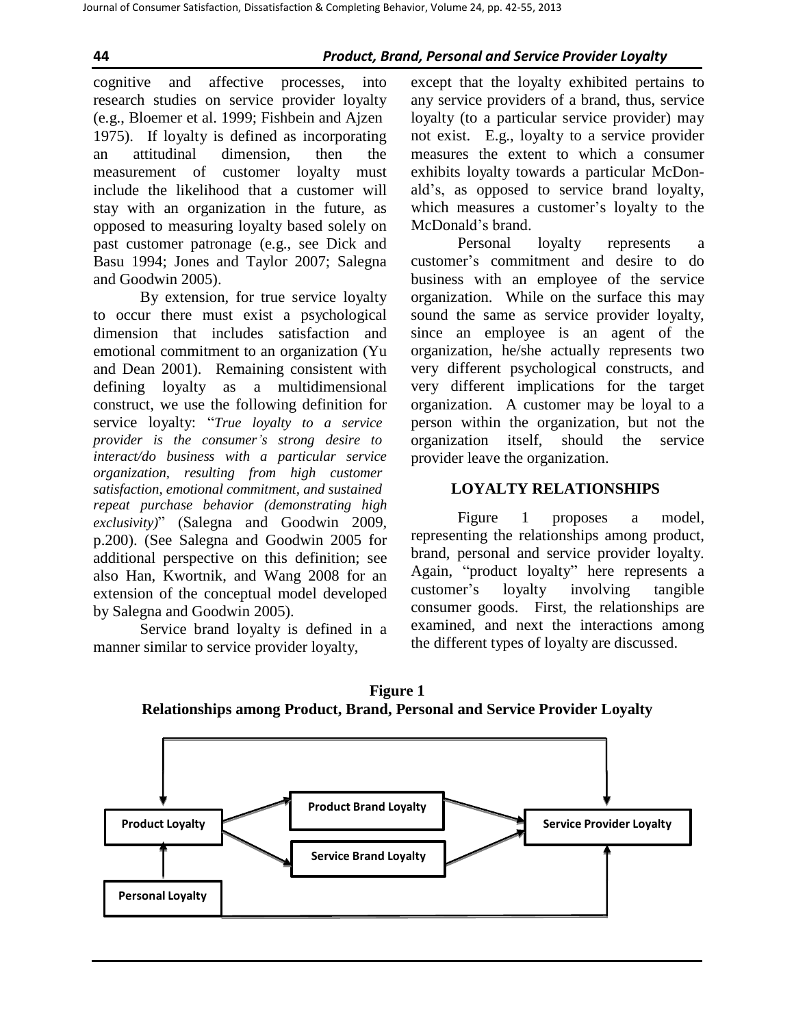#### **44** *Product, Brand, Personal and Service Provider Loyalty*

cognitive and affective processes, into research studies on service provider loyalty (e.g., Bloemer et al. 1999; Fishbein and Ajzen 1975). If loyalty is defined as incorporating an attitudinal dimension, then the measurement of customer loyalty must include the likelihood that a customer will stay with an organization in the future, as opposed to measuring loyalty based solely on past customer patronage (e.g., see Dick and Basu 1994; Jones and Taylor 2007; Salegna and Goodwin 2005).

By extension, for true service loyalty to occur there must exist a psychological dimension that includes satisfaction and emotional commitment to an organization (Yu and Dean 2001). Remaining consistent with defining loyalty as a multidimensional construct, we use the following definition for service loyalty: "*True loyalty to a service provider is the consumer's strong desire to interact/do business with a particular service organization, resulting from high customer satisfaction, emotional commitment, and sustained repeat purchase behavior (demonstrating high exclusivity)*" (Salegna and Goodwin 2009, p.200). (See Salegna and Goodwin 2005 for additional perspective on this definition; see also Han, Kwortnik, and Wang 2008 for an extension of the conceptual model developed by Salegna and Goodwin 2005).

Service brand loyalty is defined in a manner similar to service provider loyalty,

except that the loyalty exhibited pertains to any service providers of a brand, thus, service loyalty (to a particular service provider) may not exist. E.g., loyalty to a service provider measures the extent to which a consumer exhibits loyalty towards a particular McDonald's, as opposed to service brand loyalty, which measures a customer's loyalty to the McDonald's brand.

Personal loyalty represents a customer's commitment and desire to do business with an employee of the service organization. While on the surface this may sound the same as service provider loyalty, since an employee is an agent of the organization, he/she actually represents two very different psychological constructs, and very different implications for the target organization. A customer may be loyal to a person within the organization, but not the organization itself, should the service provider leave the organization.

#### **LOYALTY RELATIONSHIPS**

Figure 1 proposes a model, representing the relationships among product, brand, personal and service provider loyalty. Again, "product loyalty" here represents a customer's loyalty involving tangible consumer goods. First, the relationships are examined, and next the interactions among the different types of loyalty are discussed.

**Figure 1 Relationships among Product, Brand, Personal and Service Provider Loyalty**

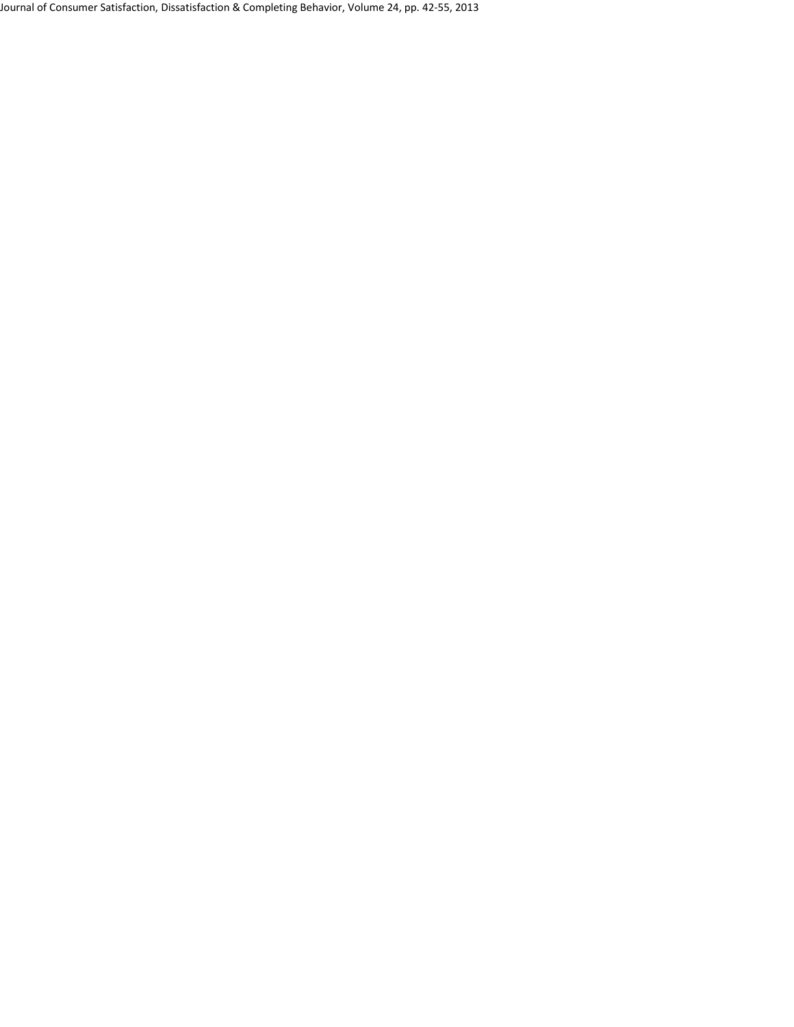Journal of Consumer Satisfaction, Dissatisfaction & Completing Behavior, Volume 24, pp. 42-55, 2013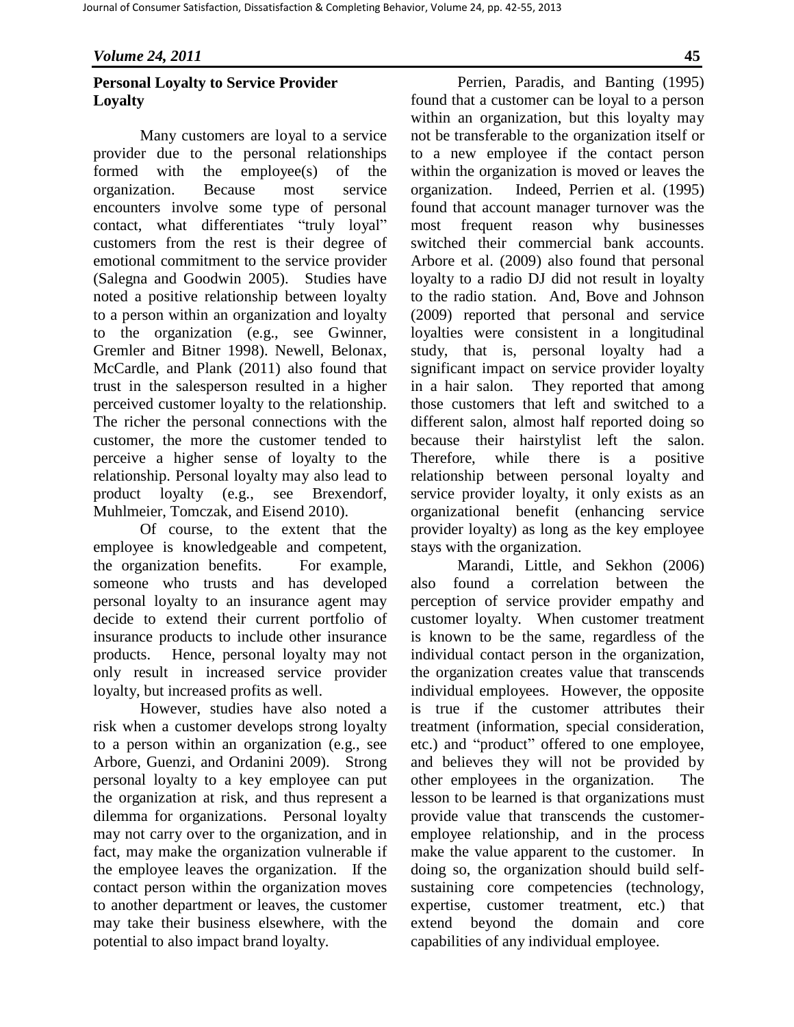## **Personal Loyalty to Service Provider Loyalty**

Many customers are loyal to a service provider due to the personal relationships formed with the employee(s) of the organization. Because most service encounters involve some type of personal contact, what differentiates "truly loyal" customers from the rest is their degree of emotional commitment to the service provider (Salegna and Goodwin 2005). Studies have noted a positive relationship between loyalty to a person within an organization and loyalty to the organization (e.g., see Gwinner, Gremler and Bitner 1998). Newell, Belonax, McCardle, and Plank (2011) also found that trust in the salesperson resulted in a higher perceived customer loyalty to the relationship. The richer the personal connections with the customer, the more the customer tended to perceive a higher sense of loyalty to the relationship. Personal loyalty may also lead to product loyalty (e.g., see Brexendorf, Muhlmeier, Tomczak, and Eisend 2010).

Of course, to the extent that the employee is knowledgeable and competent, the organization benefits. For example, someone who trusts and has developed personal loyalty to an insurance agent may decide to extend their current portfolio of insurance products to include other insurance products. Hence, personal loyalty may not only result in increased service provider loyalty, but increased profits as well.

However, studies have also noted a risk when a customer develops strong loyalty to a person within an organization (e.g., see Arbore, Guenzi, and Ordanini 2009). Strong personal loyalty to a key employee can put the organization at risk, and thus represent a dilemma for organizations. Personal loyalty may not carry over to the organization, and in fact, may make the organization vulnerable if the employee leaves the organization. If the contact person within the organization moves to another department or leaves, the customer may take their business elsewhere, with the potential to also impact brand loyalty.

Perrien, Paradis, and Banting (1995) found that a customer can be loyal to a person within an organization, but this loyalty may not be transferable to the organization itself or to a new employee if the contact person within the organization is moved or leaves the organization. Indeed, Perrien et al. (1995) found that account manager turnover was the most frequent reason why businesses switched their commercial bank accounts. Arbore et al. (2009) also found that personal loyalty to a radio DJ did not result in loyalty to the radio station. And, Bove and Johnson (2009) reported that personal and service loyalties were consistent in a longitudinal study, that is, personal loyalty had a significant impact on service provider loyalty in a hair salon. They reported that among those customers that left and switched to a different salon, almost half reported doing so because their hairstylist left the salon. Therefore, while there is a positive relationship between personal loyalty and service provider loyalty, it only exists as an organizational benefit (enhancing service provider loyalty) as long as the key employee stays with the organization.

Marandi, Little, and Sekhon (2006) also found a correlation between the perception of service provider empathy and customer loyalty. When customer treatment is known to be the same, regardless of the individual contact person in the organization, the organization creates value that transcends individual employees. However, the opposite is true if the customer attributes their treatment (information, special consideration, etc.) and "product" offered to one employee, and believes they will not be provided by other employees in the organization. The lesson to be learned is that organizations must provide value that transcends the customeremployee relationship, and in the process make the value apparent to the customer. In doing so, the organization should build selfsustaining core competencies (technology, expertise, customer treatment, etc.) that extend beyond the domain and core capabilities of any individual employee.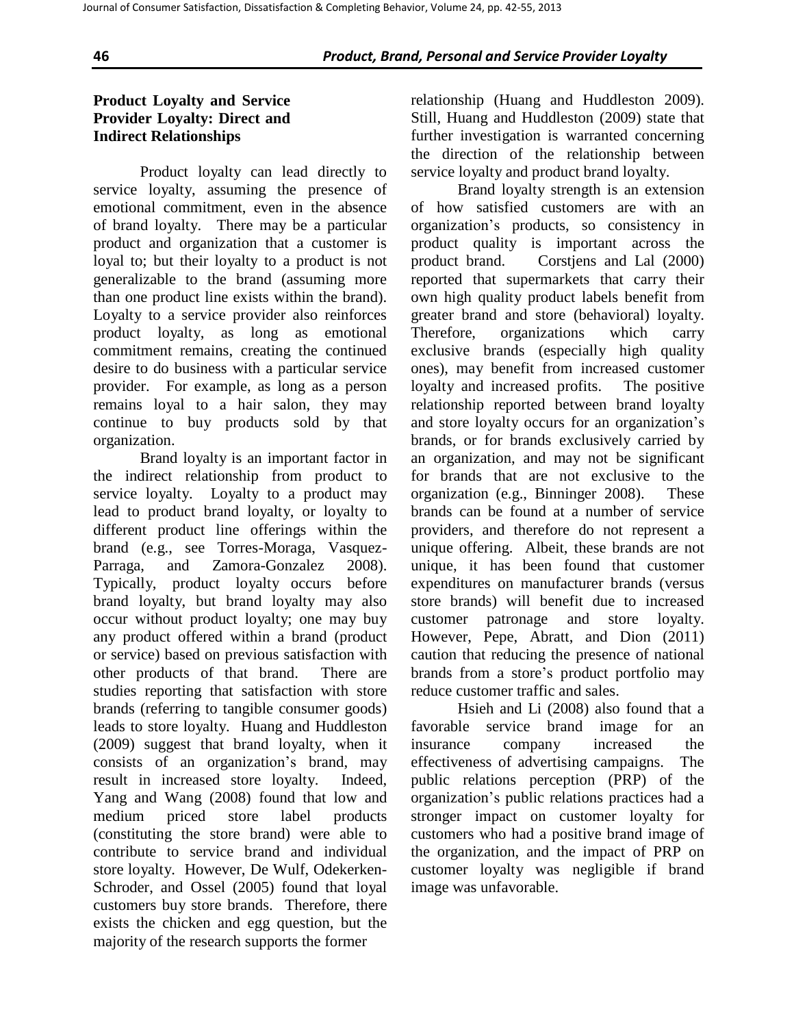# **Product Loyalty and Service Provider Loyalty: Direct and Indirect Relationships**

Product loyalty can lead directly to service loyalty, assuming the presence of emotional commitment, even in the absence of brand loyalty. There may be a particular product and organization that a customer is loyal to; but their loyalty to a product is not generalizable to the brand (assuming more than one product line exists within the brand). Loyalty to a service provider also reinforces product loyalty, as long as emotional commitment remains, creating the continued desire to do business with a particular service provider. For example, as long as a person remains loyal to a hair salon, they may continue to buy products sold by that organization.

Brand loyalty is an important factor in the indirect relationship from product to service loyalty. Loyalty to a product may lead to product brand loyalty, or loyalty to different product line offerings within the brand (e.g., see Torres-Moraga, Vasquez-Parraga, and Zamora-Gonzalez 2008). Typically, product loyalty occurs before brand loyalty, but brand loyalty may also occur without product loyalty; one may buy any product offered within a brand (product or service) based on previous satisfaction with other products of that brand. There are studies reporting that satisfaction with store brands (referring to tangible consumer goods) leads to store loyalty. Huang and Huddleston (2009) suggest that brand loyalty, when it consists of an organization's brand, may result in increased store loyalty. Indeed, Yang and Wang (2008) found that low and medium priced store label products (constituting the store brand) were able to contribute to service brand and individual store loyalty. However, De Wulf, Odekerken-Schroder, and Ossel (2005) found that loyal customers buy store brands. Therefore, there exists the chicken and egg question, but the majority of the research supports the former

relationship (Huang and Huddleston 2009). Still, Huang and Huddleston (2009) state that further investigation is warranted concerning the direction of the relationship between service loyalty and product brand loyalty.

Brand loyalty strength is an extension of how satisfied customers are with an organization's products, so consistency in product quality is important across the product brand. Corstjens and Lal (2000) reported that supermarkets that carry their own high quality product labels benefit from greater brand and store (behavioral) loyalty. Therefore, organizations which carry exclusive brands (especially high quality ones), may benefit from increased customer loyalty and increased profits. The positive relationship reported between brand loyalty and store loyalty occurs for an organization's brands, or for brands exclusively carried by an organization, and may not be significant for brands that are not exclusive to the organization (e.g., Binninger 2008). These brands can be found at a number of service providers, and therefore do not represent a unique offering. Albeit, these brands are not unique, it has been found that customer expenditures on manufacturer brands (versus store brands) will benefit due to increased customer patronage and store loyalty. However, Pepe, Abratt, and Dion (2011) caution that reducing the presence of national brands from a store's product portfolio may reduce customer traffic and sales.

Hsieh and Li (2008) also found that a favorable service brand image for an insurance company increased the effectiveness of advertising campaigns. The public relations perception (PRP) of the organization's public relations practices had a stronger impact on customer loyalty for customers who had a positive brand image of the organization, and the impact of PRP on customer loyalty was negligible if brand image was unfavorable.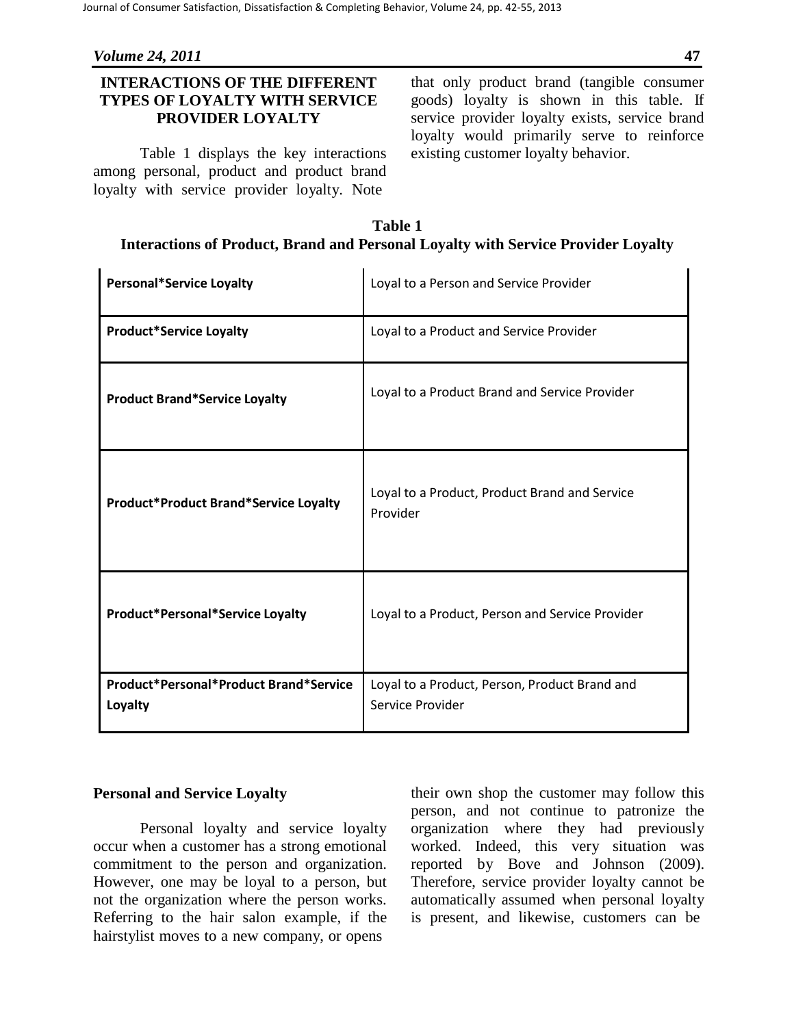# **INTERACTIONS OF THE DIFFERENT TYPES OF LOYALTY WITH SERVICE PROVIDER LOYALTY**

Table 1 displays the key interactions among personal, product and product brand loyalty with service provider loyalty. Note

that only product brand (tangible consumer goods) loyalty is shown in this table. If service provider loyalty exists, service brand loyalty would primarily serve to reinforce existing customer loyalty behavior.

| Table 1                                                                           |
|-----------------------------------------------------------------------------------|
| Interactions of Product, Brand and Personal Loyalty with Service Provider Loyalty |

| <b>Personal*Service Loyalty</b>                   | Loyal to a Person and Service Provider                            |
|---------------------------------------------------|-------------------------------------------------------------------|
| <b>Product*Service Loyalty</b>                    | Loyal to a Product and Service Provider                           |
| <b>Product Brand*Service Loyalty</b>              | Loyal to a Product Brand and Service Provider                     |
| <b>Product*Product Brand*Service Loyalty</b>      | Loyal to a Product, Product Brand and Service<br>Provider         |
| <b>Product*Personal*Service Loyalty</b>           | Loyal to a Product, Person and Service Provider                   |
| Product*Personal*Product Brand*Service<br>Loyalty | Loyal to a Product, Person, Product Brand and<br>Service Provider |

#### **Personal and Service Loyalty**

Personal loyalty and service loyalty occur when a customer has a strong emotional commitment to the person and organization. However, one may be loyal to a person, but not the organization where the person works. Referring to the hair salon example, if the hairstylist moves to a new company, or opens

their own shop the customer may follow this person, and not continue to patronize the organization where they had previously worked. Indeed, this very situation was reported by Bove and Johnson (2009). Therefore, service provider loyalty cannot be automatically assumed when personal loyalty is present, and likewise, customers can be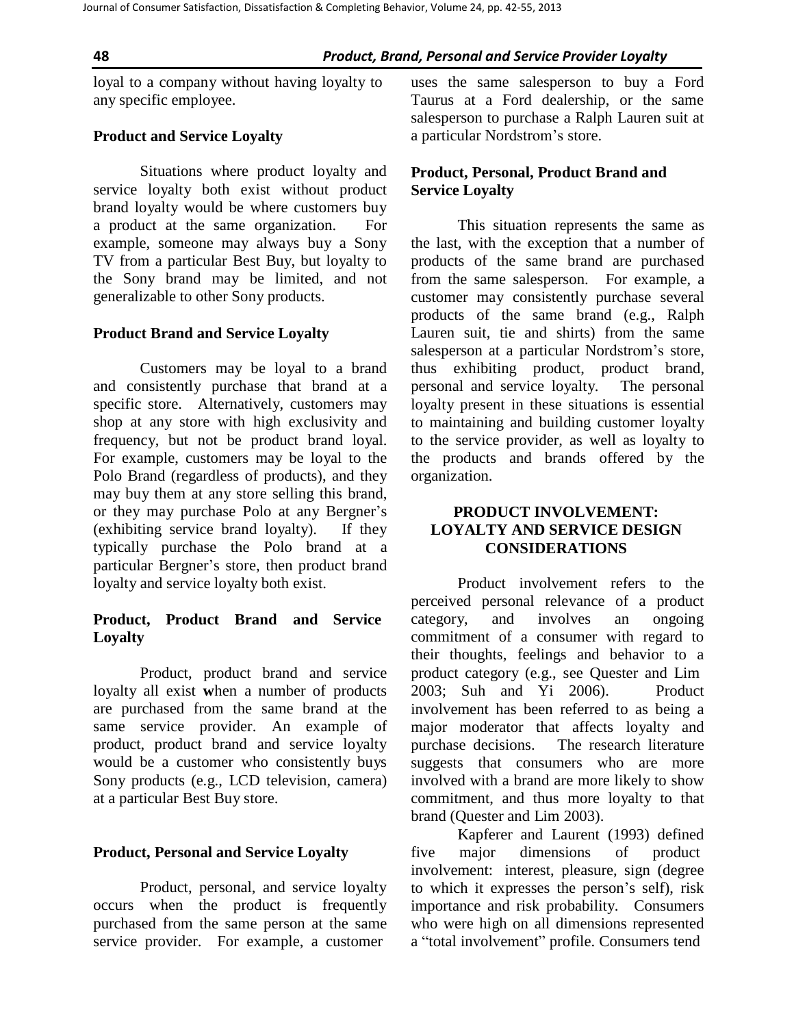loyal to a company without having loyalty to any specific employee.

#### **Product and Service Loyalty**

Situations where product loyalty and service loyalty both exist without product brand loyalty would be where customers buy a product at the same organization. For example, someone may always buy a Sony TV from a particular Best Buy, but loyalty to the Sony brand may be limited, and not generalizable to other Sony products.

#### **Product Brand and Service Loyalty**

Customers may be loyal to a brand and consistently purchase that brand at a specific store. Alternatively, customers may shop at any store with high exclusivity and frequency, but not be product brand loyal. For example, customers may be loyal to the Polo Brand (regardless of products), and they may buy them at any store selling this brand, or they may purchase Polo at any Bergner's (exhibiting service brand loyalty). If they typically purchase the Polo brand at a particular Bergner's store, then product brand loyalty and service loyalty both exist.

#### **Product, Product Brand and Service Loyalty**

Product, product brand and service loyalty all exist **w**hen a number of products are purchased from the same brand at the same service provider. An example of product, product brand and service loyalty would be a customer who consistently buys Sony products (e.g., LCD television, camera) at a particular Best Buy store.

### **Product, Personal and Service Loyalty**

Product, personal, and service loyalty occurs when the product is frequently purchased from the same person at the same service provider. For example, a customer

uses the same salesperson to buy a Ford Taurus at a Ford dealership, or the same salesperson to purchase a Ralph Lauren suit at a particular Nordstrom's store.

#### **Product, Personal, Product Brand and Service Loyalty**

This situation represents the same as the last, with the exception that a number of products of the same brand are purchased from the same salesperson. For example, a customer may consistently purchase several products of the same brand (e.g., Ralph Lauren suit, tie and shirts) from the same salesperson at a particular Nordstrom's store, thus exhibiting product, product brand, personal and service loyalty. The personal loyalty present in these situations is essential to maintaining and building customer loyalty to the service provider, as well as loyalty to the products and brands offered by the organization.

# **PRODUCT INVOLVEMENT: LOYALTY AND SERVICE DESIGN CONSIDERATIONS**

Product involvement refers to the perceived personal relevance of a product category, and involves an ongoing commitment of a consumer with regard to their thoughts, feelings and behavior to a product category (e.g., see Quester and Lim 2003; Suh and Yi 2006). Product involvement has been referred to as being a major moderator that affects loyalty and purchase decisions. The research literature suggests that consumers who are more involved with a brand are more likely to show commitment, and thus more loyalty to that brand (Quester and Lim 2003).

Kapferer and Laurent (1993) defined five major dimensions of product involvement: interest, pleasure, sign (degree to which it expresses the person's self), risk importance and risk probability. Consumers who were high on all dimensions represented a "total involvement" profile. Consumers tend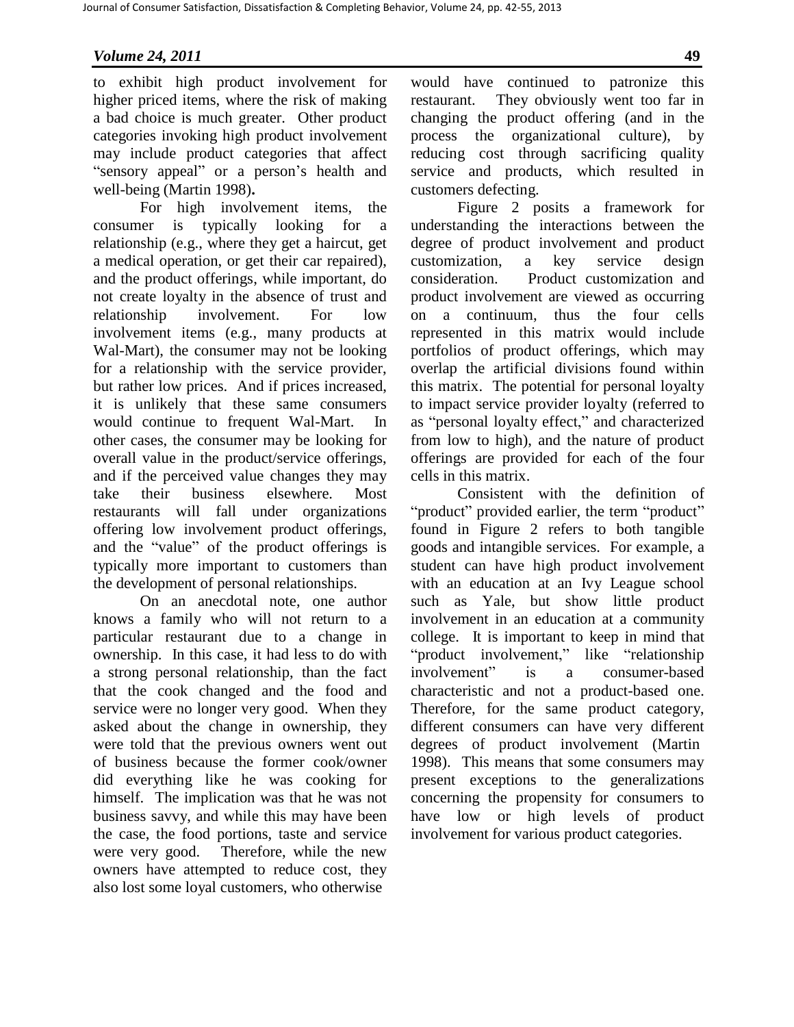to exhibit high product involvement for higher priced items, where the risk of making a bad choice is much greater. Other product categories invoking high product involvement may include product categories that affect "sensory appeal" or a person's health and well-being (Martin 1998)**.**

For high involvement items, the consumer is typically looking for a relationship (e.g., where they get a haircut, get a medical operation, or get their car repaired), and the product offerings, while important, do not create loyalty in the absence of trust and relationship involvement. For low involvement items (e.g., many products at Wal-Mart), the consumer may not be looking for a relationship with the service provider, but rather low prices. And if prices increased, it is unlikely that these same consumers would continue to frequent Wal-Mart. In other cases, the consumer may be looking for overall value in the product/service offerings, and if the perceived value changes they may take their business elsewhere. Most restaurants will fall under organizations offering low involvement product offerings, and the "value" of the product offerings is typically more important to customers than the development of personal relationships.

On an anecdotal note, one author knows a family who will not return to a particular restaurant due to a change in ownership. In this case, it had less to do with a strong personal relationship, than the fact that the cook changed and the food and service were no longer very good. When they asked about the change in ownership, they were told that the previous owners went out of business because the former cook/owner did everything like he was cooking for himself. The implication was that he was not business savvy, and while this may have been the case, the food portions, taste and service were very good. Therefore, while the new owners have attempted to reduce cost, they also lost some loyal customers, who otherwise

would have continued to patronize this restaurant. They obviously went too far in changing the product offering (and in the process the organizational culture), by reducing cost through sacrificing quality service and products, which resulted in customers defecting.

Figure 2 posits a framework for understanding the interactions between the degree of product involvement and product customization, a key service design consideration. Product customization and product involvement are viewed as occurring on a continuum, thus the four cells represented in this matrix would include portfolios of product offerings, which may overlap the artificial divisions found within this matrix. The potential for personal loyalty to impact service provider loyalty (referred to as "personal loyalty effect," and characterized from low to high), and the nature of product offerings are provided for each of the four cells in this matrix.

Consistent with the definition of "product" provided earlier, the term "product" found in Figure 2 refers to both tangible goods and intangible services. For example, a student can have high product involvement with an education at an Ivy League school such as Yale, but show little product involvement in an education at a community college. It is important to keep in mind that "product involvement," like "relationship involvement" is a consumer-based characteristic and not a product-based one. Therefore, for the same product category, different consumers can have very different degrees of product involvement (Martin 1998). This means that some consumers may present exceptions to the generalizations concerning the propensity for consumers to have low or high levels of product involvement for various product categories.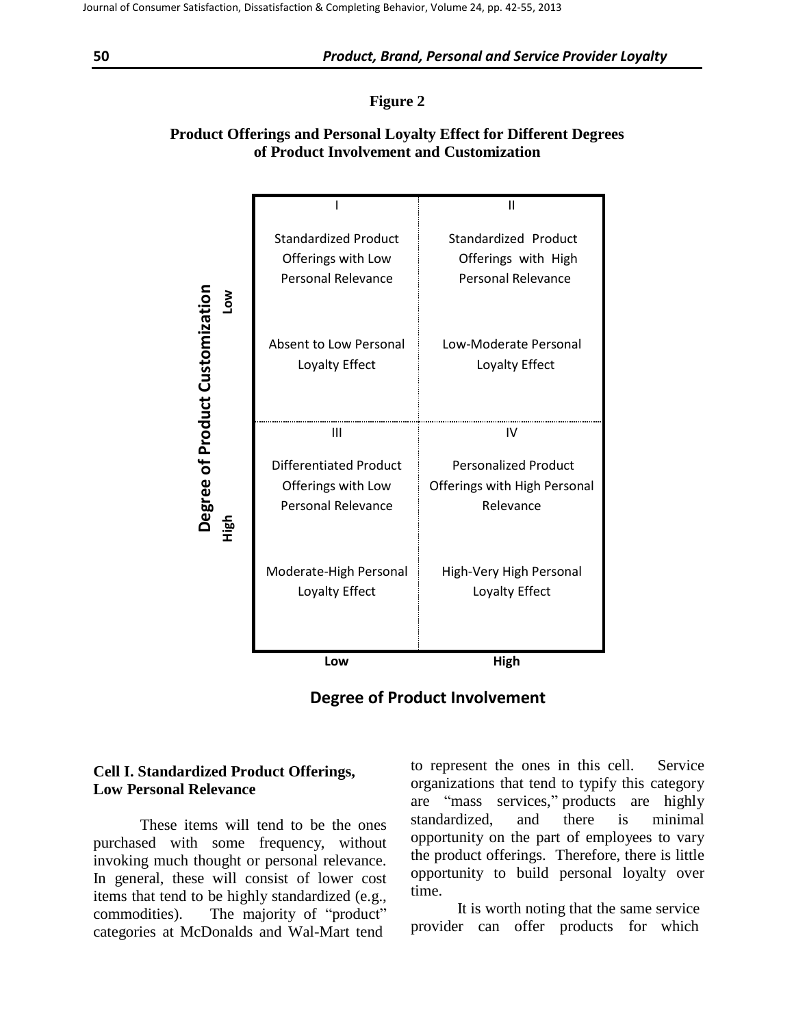#### **Figure 2**

## **Product Offerings and Personal Loyalty Effect for Different Degrees of Product Involvement and Customization**



**Degree of Product Involvement**

## **Cell I. Standardized Product Offerings, Low Personal Relevance**

These items will tend to be the ones purchased with some frequency, without invoking much thought or personal relevance. In general, these will consist of lower cost items that tend to be highly standardized (e.g., commodities). The majority of "product" categories at McDonalds and Wal-Mart tend

to represent the ones in this cell. Service organizations that tend to typify this category are "mass services," products are highly standardized, and there is minimal opportunity on the part of employees to vary the product offerings. Therefore, there is little opportunity to build personal loyalty over time.

It is worth noting that the same service provider can offer products for which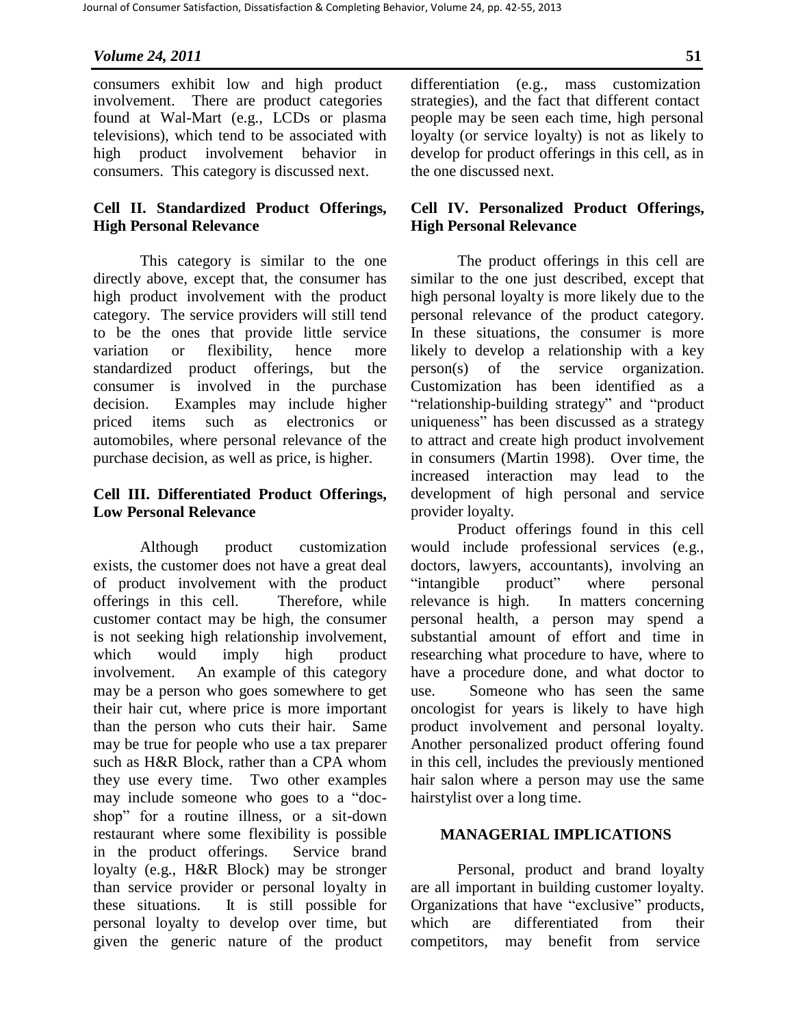consumers exhibit low and high product differentiation (e.g., mass customization involvement. There are product categories found at Wal-Mart (e.g., LCDs or plasma televisions), which tend to be associated with high product involvement behavior in consumers. This category is discussed next.

# **Cell II. Standardized Product Offerings, High Personal Relevance**

This category is similar to the one directly above, except that, the consumer has high product involvement with the product category. The service providers will still tend to be the ones that provide little service variation or flexibility, hence more standardized product offerings, but the consumer is involved in the purchase decision. Examples may include higher priced items such as electronics or automobiles, where personal relevance of the purchase decision, as well as price, is higher.

# **Cell III. Differentiated Product Offerings, Low Personal Relevance**

Although product customization exists, the customer does not have a great deal of product involvement with the product offerings in this cell. Therefore, while customer contact may be high, the consumer is not seeking high relationship involvement, which would imply high product involvement. An example of this category may be a person who goes somewhere to get their hair cut, where price is more important than the person who cuts their hair. Same may be true for people who use a tax preparer such as H&R Block, rather than a CPA whom they use every time. Two other examples may include someone who goes to a "docshop" for a routine illness, or a sit-down restaurant where some flexibility is possible in the product offerings. Service brand loyalty (e.g., H&R Block) may be stronger than service provider or personal loyalty in these situations. It is still possible for personal loyalty to develop over time, but given the generic nature of the product

strategies), and the fact that different contact people may be seen each time, high personal loyalty (or service loyalty) is not as likely to develop for product offerings in this cell, as in the one discussed next.

# **Cell IV. Personalized Product Offerings, High Personal Relevance**

The product offerings in this cell are similar to the one just described, except that high personal loyalty is more likely due to the personal relevance of the product category. In these situations, the consumer is more likely to develop a relationship with a key person(s) of the service organization. Customization has been identified as a "relationship-building strategy" and "product uniqueness" has been discussed as a strategy to attract and create high product involvement in consumers (Martin 1998). Over time, the increased interaction may lead to the development of high personal and service provider loyalty.

Product offerings found in this cell would include professional services (e.g., doctors, lawyers, accountants), involving an "intangible product" where personal relevance is high. In matters concerning personal health, a person may spend a substantial amount of effort and time in researching what procedure to have, where to have a procedure done, and what doctor to use. Someone who has seen the same oncologist for years is likely to have high product involvement and personal loyalty. Another personalized product offering found in this cell, includes the previously mentioned hair salon where a person may use the same hairstylist over a long time.

# **MANAGERIAL IMPLICATIONS**

Personal, product and brand loyalty are all important in building customer loyalty. Organizations that have "exclusive" products, which are differentiated from their competitors, may benefit from service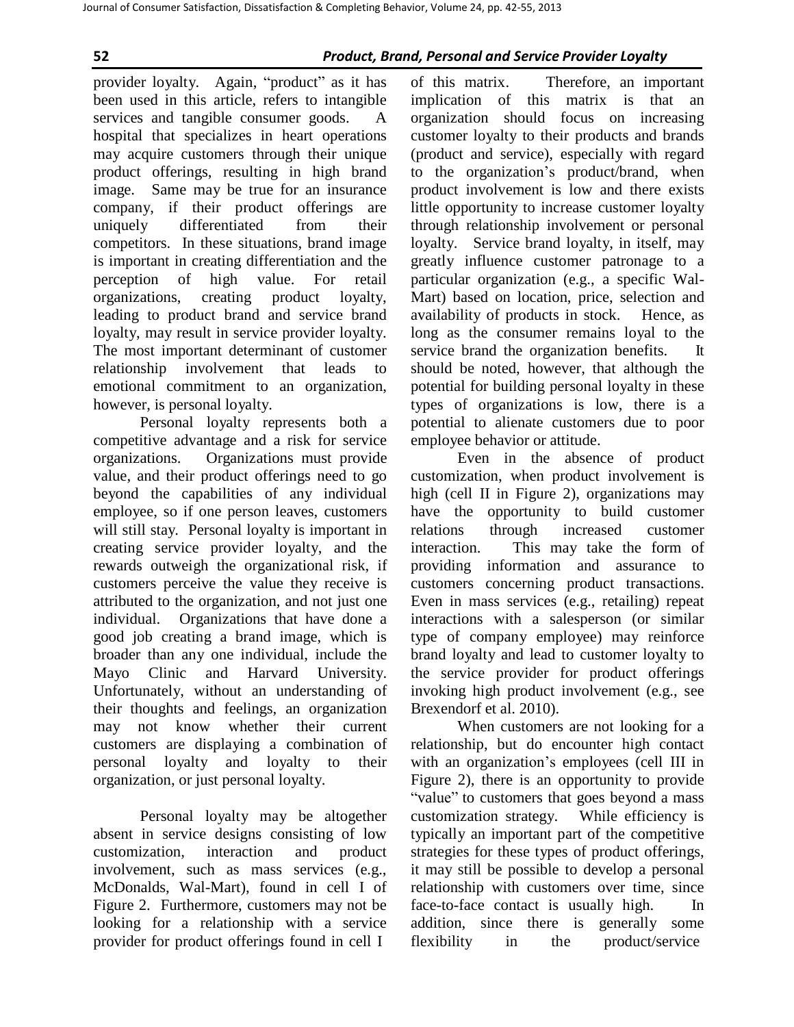#### **52** *Product, Brand, Personal and Service Provider Loyalty*

provider loyalty. Again, "product" as it has been used in this article, refers to intangible services and tangible consumer goods. A hospital that specializes in heart operations may acquire customers through their unique product offerings, resulting in high brand image. Same may be true for an insurance company, if their product offerings are uniquely differentiated from their competitors. In these situations, brand image is important in creating differentiation and the perception of high value. For retail organizations, creating product loyalty, leading to product brand and service brand loyalty, may result in service provider loyalty. The most important determinant of customer relationship involvement that leads to emotional commitment to an organization, however, is personal loyalty.

Personal loyalty represents both a competitive advantage and a risk for service organizations. Organizations must provide value, and their product offerings need to go beyond the capabilities of any individual employee, so if one person leaves, customers will still stay. Personal loyalty is important in creating service provider loyalty, and the rewards outweigh the organizational risk, if customers perceive the value they receive is attributed to the organization, and not just one individual. Organizations that have done a good job creating a brand image, which is broader than any one individual, include the Mayo Clinic and Harvard University. Unfortunately, without an understanding of their thoughts and feelings, an organization may not know whether their current customers are displaying a combination of personal loyalty and loyalty to their organization, or just personal loyalty.

Personal loyalty may be altogether absent in service designs consisting of low customization, interaction and product involvement, such as mass services (e.g., McDonalds, Wal-Mart), found in cell I of Figure 2. Furthermore, customers may not be looking for a relationship with a service provider for product offerings found in cell I

of this matrix. Therefore, an important implication of this matrix is that an organization should focus on increasing customer loyalty to their products and brands (product and service), especially with regard to the organization's product/brand, when product involvement is low and there exists little opportunity to increase customer loyalty through relationship involvement or personal loyalty. Service brand loyalty, in itself, may greatly influence customer patronage to a particular organization (e.g., a specific Wal-Mart) based on location, price, selection and availability of products in stock. Hence, as long as the consumer remains loyal to the service brand the organization benefits. It should be noted, however, that although the potential for building personal loyalty in these types of organizations is low, there is a potential to alienate customers due to poor employee behavior or attitude.

Even in the absence of product customization, when product involvement is high (cell II in Figure 2), organizations may have the opportunity to build customer relations through increased customer interaction. This may take the form of providing information and assurance to customers concerning product transactions. Even in mass services (e.g., retailing) repeat interactions with a salesperson (or similar type of company employee) may reinforce brand loyalty and lead to customer loyalty to the service provider for product offerings invoking high product involvement (e.g., see Brexendorf et al. 2010).

When customers are not looking for a relationship, but do encounter high contact with an organization's employees (cell III in Figure 2), there is an opportunity to provide "value" to customers that goes beyond a mass customization strategy. While efficiency is typically an important part of the competitive strategies for these types of product offerings, it may still be possible to develop a personal relationship with customers over time, since face-to-face contact is usually high. In addition, since there is generally some flexibility in the product/service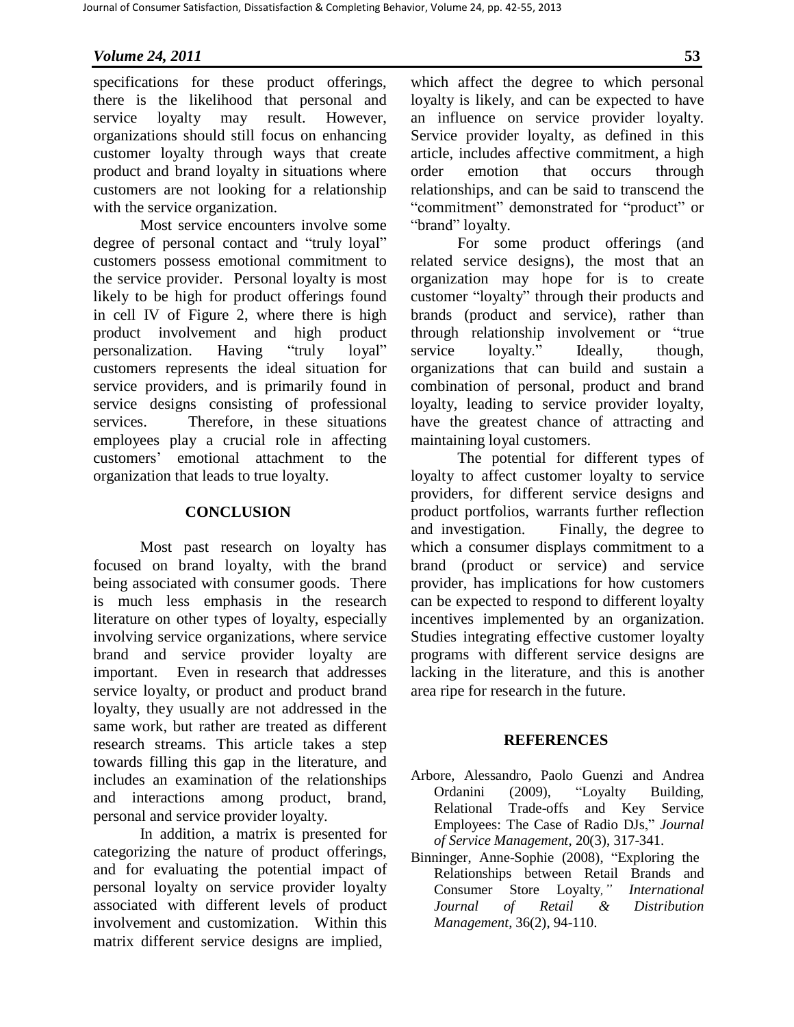specifications for these product offerings, there is the likelihood that personal and service loyalty may result. However, organizations should still focus on enhancing customer loyalty through ways that create product and brand loyalty in situations where customers are not looking for a relationship with the service organization.

Most service encounters involve some degree of personal contact and "truly loyal" customers possess emotional commitment to the service provider. Personal loyalty is most likely to be high for product offerings found in cell IV of Figure 2, where there is high product involvement and high product personalization. Having "truly loyal" customers represents the ideal situation for service providers, and is primarily found in service designs consisting of professional services. Therefore, in these situations employees play a crucial role in affecting customers' emotional attachment to the organization that leads to true loyalty.

#### **CONCLUSION**

Most past research on loyalty has focused on brand loyalty, with the brand being associated with consumer goods. There is much less emphasis in the research literature on other types of loyalty, especially involving service organizations, where service brand and service provider loyalty are important. Even in research that addresses service loyalty, or product and product brand loyalty, they usually are not addressed in the same work, but rather are treated as different research streams. This article takes a step towards filling this gap in the literature, and includes an examination of the relationships and interactions among product, brand, personal and service provider loyalty.

In addition, a matrix is presented for categorizing the nature of product offerings, and for evaluating the potential impact of personal loyalty on service provider loyalty associated with different levels of product involvement and customization. Within this matrix different service designs are implied,

which affect the degree to which personal loyalty is likely, and can be expected to have an influence on service provider loyalty. Service provider loyalty, as defined in this article, includes affective commitment, a high order emotion that occurs through relationships, and can be said to transcend the "commitment" demonstrated for "product" or "brand" loyalty.

For some product offerings (and related service designs), the most that an organization may hope for is to create customer "loyalty" through their products and brands (product and service), rather than through relationship involvement or "true service loyalty." Ideally, though, organizations that can build and sustain a combination of personal, product and brand loyalty, leading to service provider loyalty, have the greatest chance of attracting and maintaining loyal customers.

The potential for different types of loyalty to affect customer loyalty to service providers, for different service designs and product portfolios, warrants further reflection and investigation. Finally, the degree to which a consumer displays commitment to a brand (product or service) and service provider, has implications for how customers can be expected to respond to different loyalty incentives implemented by an organization. Studies integrating effective customer loyalty programs with different service designs are lacking in the literature, and this is another area ripe for research in the future.

#### **REFERENCES**

- Arbore, Alessandro, Paolo Guenzi and Andrea Ordanini (2009), "Loyalty Building, Relational Trade-offs and Key Service Employees: The Case of Radio DJs," *Journal of Service Management*, 20(3), 317-341.
- Binninger, Anne-Sophie (2008), "Exploring the Relationships between Retail Brands and Consumer Store Loyalty*," International Journal of Retail & Distribution Management*, 36(2), 94-110.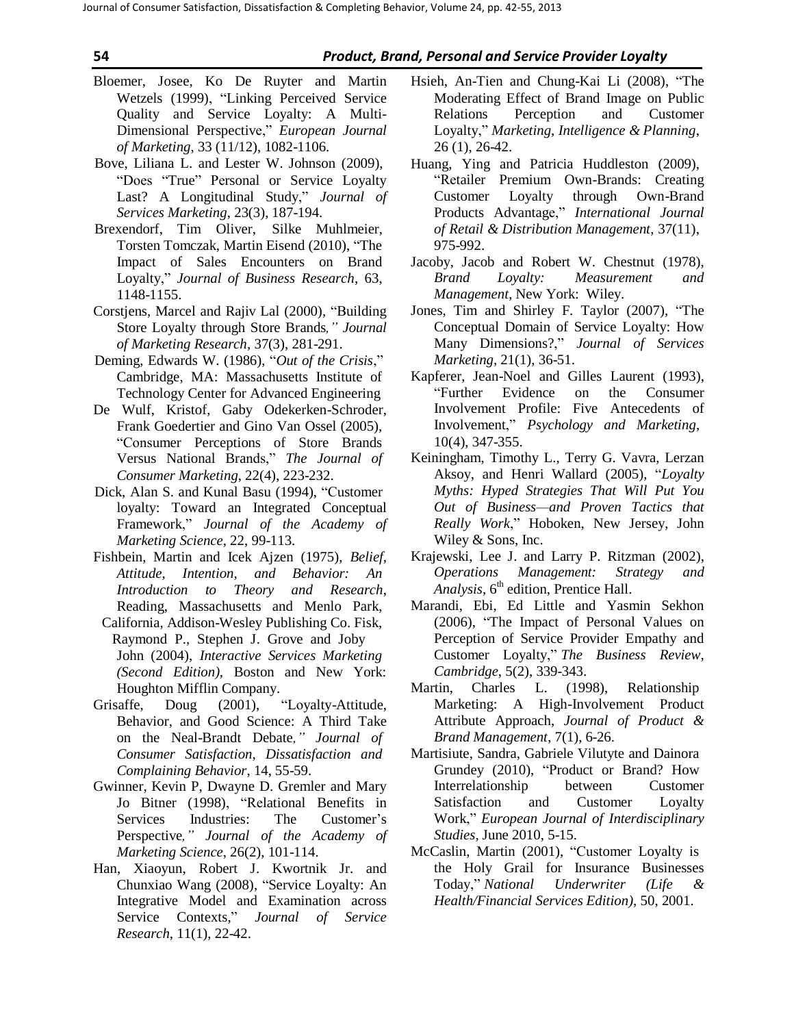- Bloemer, Josee, Ko De Ruyter and Martin Wetzels (1999), "Linking Perceived Service Quality and Service Loyalty: A Multi-Dimensional Perspective," *European Journal of Marketing*, 33 (11/12), 1082-1106.
- Bove, Liliana L. and Lester W. Johnson (2009), "Does "True" Personal or Service Loyalty Last? A Longitudinal Study," *Journal of Services Marketing*, 23(3), 187-194.
- Brexendorf, Tim Oliver, Silke Muhlmeier, Torsten Tomczak, Martin Eisend (2010), "The Impact of Sales Encounters on Brand Loyalty," *Journal of Business Research*, 63, 1148-1155.
- Corstjens, Marcel and Rajiv Lal (2000), "Building Store Loyalty through Store Brands*," Journal of Marketing Research*, 37(3), 281-291.
- Deming, Edwards W. (1986), "*Out of the Crisis*," Cambridge, MA: Massachusetts Institute of Technology Center for Advanced Engineering
- De Wulf, Kristof, Gaby Odekerken-Schroder, Frank Goedertier and Gino Van Ossel (2005), "Consumer Perceptions of Store Brands Versus National Brands," *The Journal of Consumer Marketing*, 22(4), 223-232.
- Dick, Alan S. and Kunal Basu (1994), "Customer loyalty: Toward an Integrated Conceptual Framework," *Journal of the Academy of Marketing Science*, 22, 99-113.
- Fishbein, Martin and Icek Ajzen (1975), *Belief, Attitude, Intention, and Behavior: An Introduction to Theory and Research*, Reading, Massachusetts and Menlo Park,
- California, Addison-Wesley Publishing Co. Fisk, Raymond P., Stephen J. Grove and Joby John (2004), *Interactive Services Marketing (Second Edition),* Boston and New York: Houghton Mifflin Company.
- Grisaffe, Doug (2001), "Loyalty-Attitude, Behavior, and Good Science: A Third Take on the Neal-Brandt Debate*," Journal of Consumer Satisfaction, Dissatisfaction and Complaining Behavior*, 14, 55-59.
- Gwinner, Kevin P, Dwayne D. Gremler and Mary Jo Bitner (1998), "Relational Benefits in Services Industries: The Customer's Perspective*," Journal of the Academy of Marketing Science*, 26(2), 101-114.
- Han, Xiaoyun, Robert J. Kwortnik Jr. and Chunxiao Wang (2008), "Service Loyalty: An Integrative Model and Examination across Service Contexts," *Journal of Service Research*, 11(1), 22-42.
- Hsieh, An-Tien and Chung-Kai Li (2008), "The Moderating Effect of Brand Image on Public Relations Perception and Customer Loyalty," *Marketing, Intelligence & Planning*, 26 (1), 26-42.
- Huang, Ying and Patricia Huddleston (2009), "Retailer Premium Own-Brands: Creating Customer Loyalty through Own-Brand Products Advantage," *International Journal of Retail & Distribution Management*, 37(11), 975-992.
- Jacoby, Jacob and Robert W. Chestnut (1978), *Brand Loyalty: Measurement and Management*, New York: Wiley.
- Jones, Tim and Shirley F. Taylor (2007), "The Conceptual Domain of Service Loyalty: How Many Dimensions?," *Journal of Services Marketing*, 21(1), 36-51.
- Kapferer, Jean-Noel and Gilles Laurent (1993), "Further Evidence on the Consumer Involvement Profile: Five Antecedents of Involvement," *Psychology and Marketing*, 10(4), 347-355.
- Keiningham, Timothy L., Terry G. Vavra, Lerzan Aksoy, and Henri Wallard (2005), "*Loyalty Myths: Hyped Strategies That Will Put You Out of Business—and Proven Tactics that Really Work*," Hoboken, New Jersey, John Wiley & Sons, Inc.
- Krajewski, Lee J. and Larry P. Ritzman (2002), *Operations Management: Strategy and Analysis*, 6 th edition, Prentice Hall.
- Marandi, Ebi, Ed Little and Yasmin Sekhon (2006), "The Impact of Personal Values on Perception of Service Provider Empathy and Customer Loyalty," *The Business Review, Cambridge*, 5(2), 339-343.
- Martin, Charles L. (1998), Relationship Marketing: A High-Involvement Product Attribute Approach, *Journal of Product & Brand Management*, 7(1), 6-26.
- Martisiute, Sandra, Gabriele Vilutyte and Dainora Grundey (2010), "Product or Brand? How Interrelationship between Customer Satisfaction and Customer Loyalty Work," *European Journal of Interdisciplinary Studies*, June 2010, 5-15.
- McCaslin, Martin (2001), "Customer Loyalty is the Holy Grail for Insurance Businesses Today," *National Underwriter (Life & Health/Financial Services Edition)*, 50, 2001.